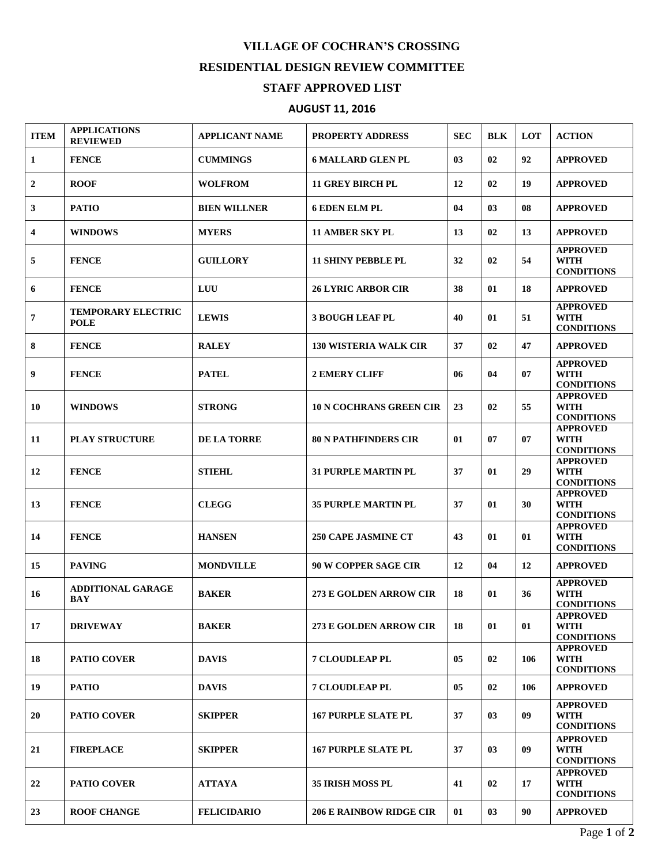## **VILLAGE OF COCHRAN'S CROSSING RESIDENTIAL DESIGN REVIEW COMMITTEE STAFF APPROVED LIST**

## **AUGUST 11, 2016**

| <b>ITEM</b>      | <b>APPLICATIONS</b><br><b>REVIEWED</b>   | <b>APPLICANT NAME</b> | <b>PROPERTY ADDRESS</b>        | <b>SEC</b> | <b>BLK</b> | LOT | <b>ACTION</b>                                       |
|------------------|------------------------------------------|-----------------------|--------------------------------|------------|------------|-----|-----------------------------------------------------|
| 1                | <b>FENCE</b>                             | <b>CUMMINGS</b>       | <b>6 MALLARD GLEN PL</b>       | 03         | 02         | 92  | <b>APPROVED</b>                                     |
| $\boldsymbol{2}$ | <b>ROOF</b>                              | <b>WOLFROM</b>        | <b>11 GREY BIRCH PL</b>        | 12         | 02         | 19  | <b>APPROVED</b>                                     |
| 3                | <b>PATIO</b>                             | <b>BIEN WILLNER</b>   | <b>6 EDEN ELM PL</b>           | 04         | 03         | 08  | <b>APPROVED</b>                                     |
| 4                | <b>WINDOWS</b>                           | <b>MYERS</b>          | <b>11 AMBER SKY PL</b>         | 13         | 02         | 13  | <b>APPROVED</b>                                     |
| 5                | <b>FENCE</b>                             | <b>GUILLORY</b>       | <b>11 SHINY PEBBLE PL</b>      | 32         | 02         | 54  | <b>APPROVED</b><br><b>WITH</b><br><b>CONDITIONS</b> |
| 6                | <b>FENCE</b>                             | LUU                   | <b>26 LYRIC ARBOR CIR</b>      | 38         | 01         | 18  | <b>APPROVED</b>                                     |
| $\overline{7}$   | <b>TEMPORARY ELECTRIC</b><br><b>POLE</b> | <b>LEWIS</b>          | <b>3 BOUGH LEAF PL</b>         | 40         | 01         | 51  | <b>APPROVED</b><br><b>WITH</b><br><b>CONDITIONS</b> |
| 8                | <b>FENCE</b>                             | <b>RALEY</b>          | <b>130 WISTERIA WALK CIR</b>   | 37         | 02         | 47  | <b>APPROVED</b>                                     |
| 9                | <b>FENCE</b>                             | <b>PATEL</b>          | <b>2 EMERY CLIFF</b>           | 06         | 04         | 07  | <b>APPROVED</b><br><b>WITH</b><br><b>CONDITIONS</b> |
| 10               | <b>WINDOWS</b>                           | <b>STRONG</b>         | <b>10 N COCHRANS GREEN CIR</b> | 23         | 02         | 55  | <b>APPROVED</b><br><b>WITH</b><br><b>CONDITIONS</b> |
| 11               | <b>PLAY STRUCTURE</b>                    | <b>DE LA TORRE</b>    | <b>80 N PATHFINDERS CIR</b>    | 01         | 07         | 07  | <b>APPROVED</b><br><b>WITH</b><br><b>CONDITIONS</b> |
| 12               | <b>FENCE</b>                             | <b>STIEHL</b>         | <b>31 PURPLE MARTIN PL</b>     | 37         | 01         | 29  | <b>APPROVED</b><br><b>WITH</b><br><b>CONDITIONS</b> |
| 13               | <b>FENCE</b>                             | <b>CLEGG</b>          | <b>35 PURPLE MARTIN PL</b>     | 37         | 01         | 30  | <b>APPROVED</b><br><b>WITH</b><br><b>CONDITIONS</b> |
| 14               | <b>FENCE</b>                             | <b>HANSEN</b>         | <b>250 CAPE JASMINE CT</b>     | 43         | 01         | 01  | <b>APPROVED</b><br><b>WITH</b><br><b>CONDITIONS</b> |
| 15               | <b>PAVING</b>                            | <b>MONDVILLE</b>      | <b>90 W COPPER SAGE CIR</b>    | 12         | 04         | 12  | <b>APPROVED</b>                                     |
| 16               | <b>ADDITIONAL GARAGE</b><br><b>BAY</b>   | <b>BAKER</b>          | 273 E GOLDEN ARROW CIR         | 18         | 01         | 36  | <b>APPROVED</b><br><b>WITH</b><br><b>CONDITIONS</b> |
| 17               | <b>DRIVEWAY</b>                          | <b>BAKER</b>          | 273 E GOLDEN ARROW CIR         | 18         | 01         | 01  | <b>APPROVED</b><br><b>WITH</b><br><b>CONDITIONS</b> |
| 18               | <b>PATIO COVER</b>                       | <b>DAVIS</b>          | <b>7 CLOUDLEAP PL</b>          | 05         | 02         | 106 | <b>APPROVED</b><br><b>WITH</b><br><b>CONDITIONS</b> |
| 19               | <b>PATIO</b>                             | <b>DAVIS</b>          | <b>7 CLOUDLEAP PL</b>          | 05         | 02         | 106 | <b>APPROVED</b>                                     |
| 20               | <b>PATIO COVER</b>                       | <b>SKIPPER</b>        | <b>167 PURPLE SLATE PL</b>     | 37         | 03         | 09  | <b>APPROVED</b><br><b>WITH</b><br><b>CONDITIONS</b> |
| 21               | <b>FIREPLACE</b>                         | <b>SKIPPER</b>        | <b>167 PURPLE SLATE PL</b>     | 37         | 03         | 09  | <b>APPROVED</b><br>WITH<br><b>CONDITIONS</b>        |
| 22               | <b>PATIO COVER</b>                       | <b>ATTAYA</b>         | <b>35 IRISH MOSS PL</b>        | 41         | 02         | 17  | <b>APPROVED</b><br><b>WITH</b><br><b>CONDITIONS</b> |
| 23               | <b>ROOF CHANGE</b>                       | <b>FELICIDARIO</b>    | <b>206 E RAINBOW RIDGE CIR</b> | 01         | 03         | 90  | <b>APPROVED</b>                                     |